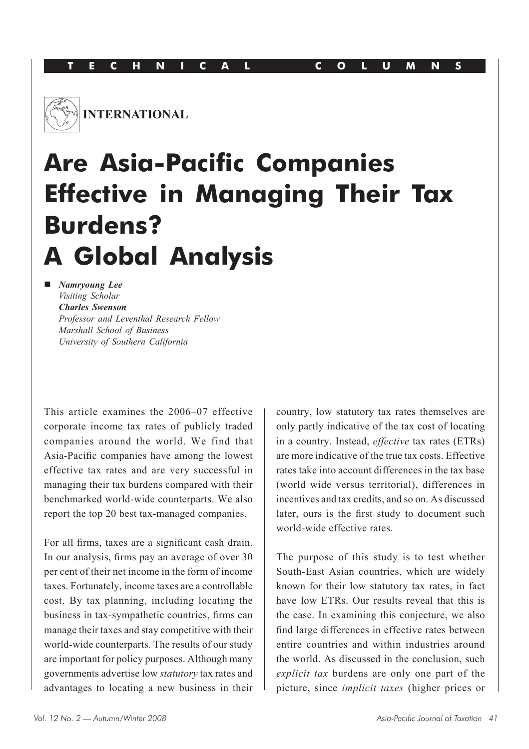

# **Are Asia-Pacific Companies Effective in Managing Their Tax Burdens? A Global Analysis**

**n** *Namryoung Lee Visiting Scholar Charles Swenson Professor and Leventhal Research Fellow Marshall School of Business University of Southern California*

This article examines the 2006–07 effective corporate income tax rates of publicly traded companies around the world. We find that Asia-Pacific companies have among the lowest effective tax rates and are very successful in managing their tax burdens compared with their benchmarked world-wide counterparts. We also report the top 20 best tax-managed companies.

For all firms, taxes are a significant cash drain. In our analysis, firms pay an average of over 30 per cent of their net income in the form of income taxes. Fortunately, income taxes are a controllable cost. By tax planning, including locating the business in tax-sympathetic countries, firms can manage their taxes and stay competitive with their world-wide counterparts. The results of our study are important for policy purposes. Although many governments advertise low *statutory* tax rates and advantages to locating a new business in their

country, low statutory tax rates themselves are only partly indicative of the tax cost of locating in a country. Instead, *effective* tax rates (ETRs) are more indicative of the true tax costs. Effective rates take into account differences in the tax base (world wide versus territorial), differences in incentives and tax credits, and so on. As discussed later, ours is the first study to document such world-wide effective rates.

The purpose of this study is to test whether South-East Asian countries, which are widely known for their low statutory tax rates, in fact have low ETRs. Our results reveal that this is the case. In examining this conjecture, we also find large differences in effective rates between entire countries and within industries around the world. As discussed in the conclusion, such *explicit tax* burdens are only one part of the picture, since *implicit taxes* (higher prices or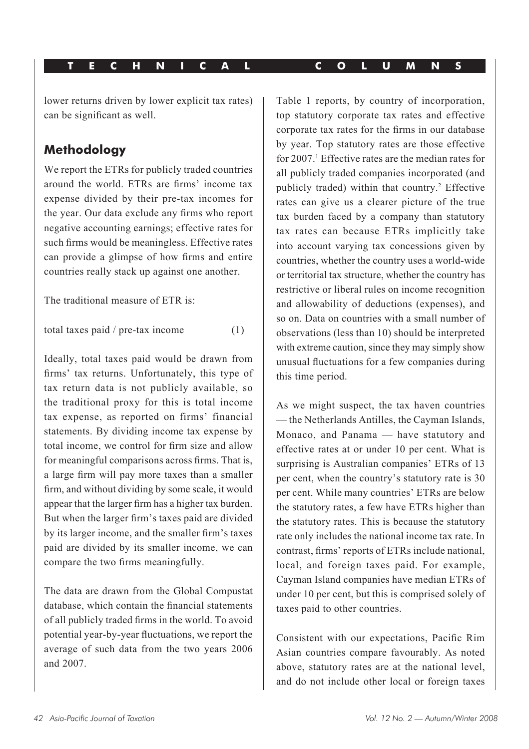lower returns driven by lower explicit tax rates) can be significant as well.

# **Methodology**

We report the ETRs for publicly traded countries around the world. ETRs are firms' income tax expense divided by their pre-tax incomes for the year. Our data exclude any firms who report negative accounting earnings; effective rates for such firms would be meaningless. Effective rates can provide a glimpse of how firms and entire countries really stack up against one another.

The traditional measure of ETR is:

total taxes paid / pre-tax income (1)

Ideally, total taxes paid would be drawn from firms' tax returns. Unfortunately, this type of tax return data is not publicly available, so the traditional proxy for this is total income tax expense, as reported on firms' financial statements. By dividing income tax expense by total income, we control for firm size and allow for meaningful comparisons across firms. That is, a large firm will pay more taxes than a smaller firm, and without dividing by some scale, it would appear that the larger firm has a higher tax burden. But when the larger firm's taxes paid are divided by its larger income, and the smaller firm's taxes paid are divided by its smaller income, we can compare the two firms meaningfully.

The data are drawn from the Global Compustat database, which contain the financial statements of all publicly traded firms in the world. To avoid potential year-by-year fluctuations, we report the average of such data from the two years 2006 and 2007.

Table 1 reports, by country of incorporation, top statutory corporate tax rates and effective corporate tax rates for the firms in our database by year. Top statutory rates are those effective for 2007.<sup>1</sup> Effective rates are the median rates for all publicly traded companies incorporated (and publicly traded) within that country.<sup>2</sup> Effective rates can give us a clearer picture of the true tax burden faced by a company than statutory tax rates can because ETRs implicitly take into account varying tax concessions given by countries, whether the country uses a world-wide or territorial tax structure, whether the country has restrictive or liberal rules on income recognition and allowability of deductions (expenses), and so on. Data on countries with a small number of observations (less than 10) should be interpreted with extreme caution, since they may simply show unusual fluctuations for a few companies during this time period.

As we might suspect, the tax haven countries — the Netherlands Antilles, the Cayman Islands, Monaco, and Panama — have statutory and effective rates at or under 10 per cent. What is surprising is Australian companies' ETRs of 13 per cent, when the country's statutory rate is 30 per cent. While many countries' ETRs are below the statutory rates, a few have ETRs higher than the statutory rates. This is because the statutory rate only includes the national income tax rate. In contrast, firms' reports of ETRs include national, local, and foreign taxes paid. For example, Cayman Island companies have median ETRs of under 10 per cent, but this is comprised solely of taxes paid to other countries.

Consistent with our expectations, Pacific Rim Asian countries compare favourably. As noted above, statutory rates are at the national level, and do not include other local or foreign taxes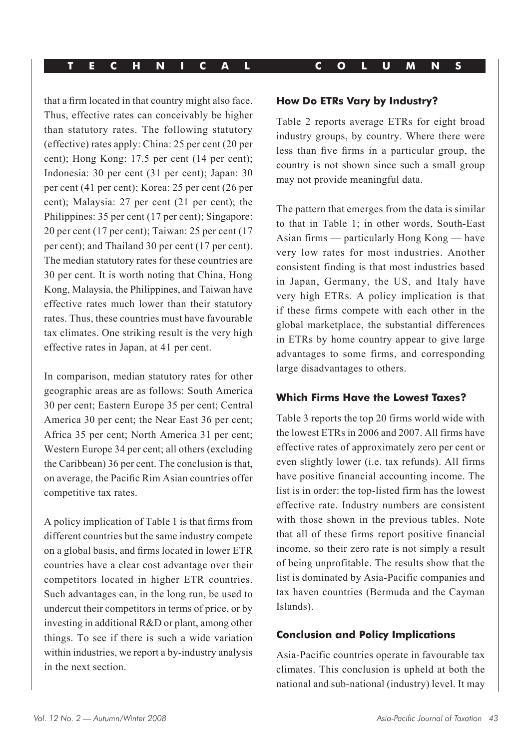that a firm located in that country might also face. Thus, effective rates can conceivably be higher than statutory rates. The following statutory (effective) rates apply: China: 25 per cent (20 per cent); Hong Kong: 17.5 per cent (14 per cent); Indonesia: 30 per cent (31 per cent); Japan: 30 per cent (41 per cent); Korea: 25 per cent (26 per cent); Malaysia: 27 per cent (21 per cent); the Philippines: 35 per cent (17 per cent); Singapore: 20 per cent (17 per cent); Taiwan: 25 per cent (17 per cent); and Thailand 30 per cent (17 per cent). The median statutory rates for these countries are 30 per cent. It is worth noting that China, Hong Kong, Malaysia, the Philippines, and Taiwan have effective rates much lower than their statutory rates. Thus, these countries must have favourable tax climates. One striking result is the very high effective rates in Japan, at 41 per cent.

In comparison, median statutory rates for other geographic areas are as follows: South America 30 per cent; Eastern Europe 35 per cent; Central America 30 per cent; the Near East 36 per cent; Africa 35 per cent; North America 31 per cent; Western Europe 34 per cent; all others (excluding the Caribbean) 36 per cent. The conclusion is that, on average, the Pacific Rim Asian countries offer competitive tax rates.

A policy implication of Table 1 is that firms from different countries but the same industry compete on a global basis, and firms located in lower ETR countries have a clear cost advantage over their competitors located in higher ETR countries. Such advantages can, in the long run, be used to undercut their competitors in terms of price, or by investing in additional R&D or plant, among other things. To see if there is such a wide variation within industries, we report a by-industry analysis in the next section.

#### **How Do ETRs Vary by Industry?**

Table 2 reports average ETRs for eight broad industry groups, by country. Where there were less than five firms in a particular group, the country is not shown since such a small group may not provide meaningful data.

The pattern that emerges from the data is similar to that in Table 1; in other words, South-East Asian firms — particularly Hong Kong — have very low rates for most industries. Another consistent finding is that most industries based in Japan, Germany, the US, and Italy have very high ETRs. A policy implication is that if these firms compete with each other in the global marketplace, the substantial differences in ETRs by home country appear to give large advantages to some firms, and corresponding large disadvantages to others.

#### **Which Firms Have the Lowest Taxes?**

Table 3 reports the top 20 firms world wide with the lowest ETRs in 2006 and 2007. All firms have effective rates of approximately zero per cent or even slightly lower (i.e. tax refunds). All firms have positive financial accounting income. The list is in order: the top-listed firm has the lowest effective rate. Industry numbers are consistent with those shown in the previous tables. Note that all of these firms report positive financial income, so their zero rate is not simply a result of being unprofitable. The results show that the list is dominated by Asia-Pacific companies and tax haven countries (Bermuda and the Cayman Islands).

#### **Conclusion and Policy Implications**

Asia-Pacific countries operate in favourable tax climates. This conclusion is upheld at both the national and sub-national (industry) level. It may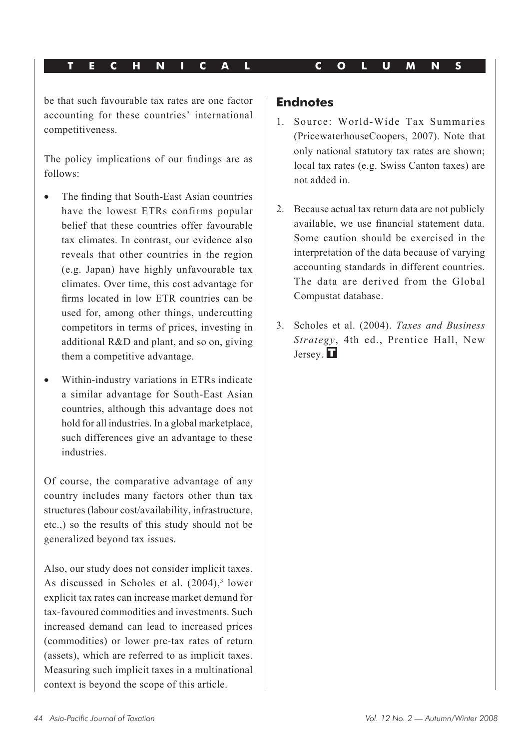be that such favourable tax rates are one factor accounting for these countries' international competitiveness.

The policy implications of our findings are as follows:

- The finding that South-East Asian countries have the lowest ETRs confirms popular belief that these countries offer favourable tax climates. In contrast, our evidence also reveals that other countries in the region (e.g. Japan) have highly unfavourable tax climates. Over time, this cost advantage for firms located in low ETR countries can be used for, among other things, undercutting competitors in terms of prices, investing in additional R&D and plant, and so on, giving them a competitive advantage.
- • Within-industry variations in ETRs indicate a similar advantage for South-East Asian countries, although this advantage does not hold for all industries. In a global marketplace, such differences give an advantage to these industries.

Of course, the comparative advantage of any country includes many factors other than tax structures (labour cost/availability, infrastructure, etc.,) so the results of this study should not be generalized beyond tax issues.

Also, our study does not consider implicit taxes. As discussed in Scholes et al.  $(2004),$ <sup>3</sup> lower explicit tax rates can increase market demand for tax-favoured commodities and investments. Such increased demand can lead to increased prices (commodities) or lower pre-tax rates of return (assets), which are referred to as implicit taxes. Measuring such implicit taxes in a multinational context is beyond the scope of this article.

#### **Endnotes**

- 1. Source: World-Wide Tax Summaries (PricewaterhouseCoopers, 2007). Note that only national statutory tax rates are shown; local tax rates (e.g. Swiss Canton taxes) are not added in.
- 2. Because actual tax return data are not publicly available, we use financial statement data. Some caution should be exercised in the interpretation of the data because of varying accounting standards in different countries. The data are derived from the Global Compustat database.
- 3. Scholes et al. (2004). *Taxes and Business Strategy*, 4th ed., Prentice Hall, New Jersey.  $\blacksquare$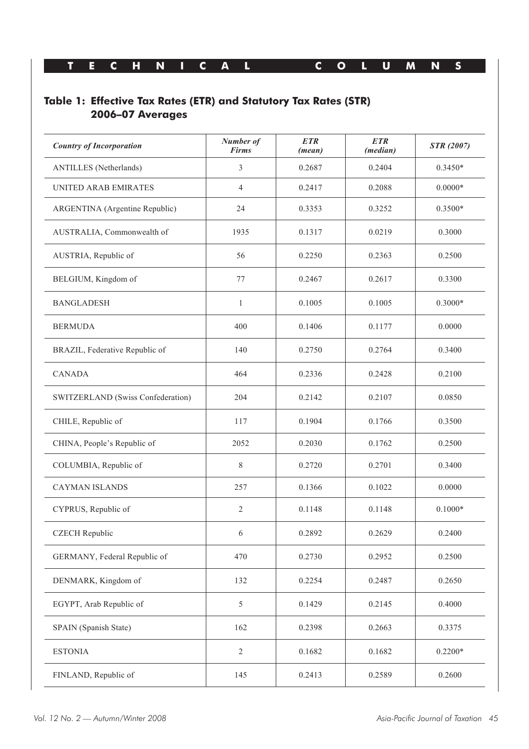### **Table 1: Effective Tax Rates (ETR) and Statutory Tax Rates (STR) 2006–07 Averages**

| <b>Country of Incorporation</b>   | Number of<br><b>Firms</b> | <b>ETR</b><br>(mean) | <b>ETR</b><br>(median) | <b>STR</b> (2007) |
|-----------------------------------|---------------------------|----------------------|------------------------|-------------------|
| ANTILLES (Netherlands)            | 3                         | 0.2687               | 0.2404                 | $0.3450*$         |
| UNITED ARAB EMIRATES              | 4                         | 0.2417               | 0.2088                 | $0.0000*$         |
| ARGENTINA (Argentine Republic)    | 24                        | 0.3353               | 0.3252                 | $0.3500*$         |
| AUSTRALIA, Commonwealth of        | 1935                      | 0.1317               | 0.0219                 | 0.3000            |
| AUSTRIA, Republic of              | 56                        | 0.2250               | 0.2363                 | 0.2500            |
| BELGIUM, Kingdom of               | 77                        | 0.2467               | 0.2617                 | 0.3300            |
| <b>BANGLADESH</b>                 | 1                         | 0.1005               | 0.1005                 | $0.3000*$         |
| <b>BERMUDA</b>                    | 400                       | 0.1406               | 0.1177                 | 0.0000            |
| BRAZIL, Federative Republic of    | 140                       | 0.2750               | 0.2764                 | 0.3400            |
| <b>CANADA</b>                     | 464                       | 0.2336               | 0.2428                 | 0.2100            |
| SWITZERLAND (Swiss Confederation) | 204                       | 0.2142               | 0.2107                 | 0.0850            |
| CHILE, Republic of                | 117                       | 0.1904               | 0.1766                 | 0.3500            |
| CHINA, People's Republic of       | 2052                      | 0.2030               | 0.1762                 | 0.2500            |
| COLUMBIA, Republic of             | 8                         | 0.2720               | 0.2701                 | 0.3400            |
| <b>CAYMAN ISLANDS</b>             | 257                       | 0.1366               | 0.1022                 | 0.0000            |
| CYPRUS, Republic of               | $\overline{c}$            | 0.1148               | 0.1148                 | $0.1000*$         |
| <b>CZECH</b> Republic             | 6                         | 0.2892               | 0.2629                 | 0.2400            |
| GERMANY, Federal Republic of      | 470                       | 0.2730               | 0.2952                 | 0.2500            |
| DENMARK, Kingdom of               | 132                       | 0.2254               | 0.2487                 | 0.2650            |
| EGYPT, Arab Republic of           | 5                         | 0.1429               | 0.2145                 | 0.4000            |
| SPAIN (Spanish State)             | 162                       | 0.2398               | 0.2663                 | 0.3375            |
| <b>ESTONIA</b>                    | $\mathfrak{2}$            | 0.1682               | 0.1682                 | $0.2200*$         |
| FINLAND, Republic of              | 145                       | 0.2413               | 0.2589                 | 0.2600            |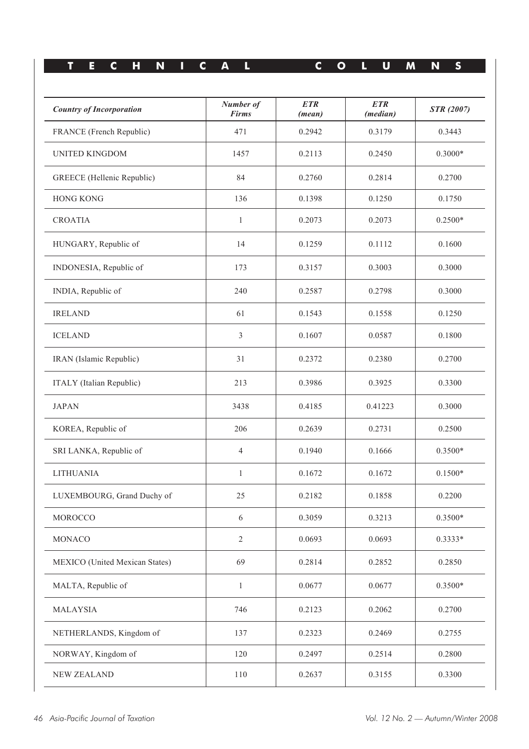| <b>Country of Incorporation</b>   | Number of<br><b>Firms</b> | <b>ETR</b><br>(mean) | <b>ETR</b><br>( <i>median</i> ) | <b>STR</b> (2007) |
|-----------------------------------|---------------------------|----------------------|---------------------------------|-------------------|
| FRANCE (French Republic)          | 471                       | 0.2942               | 0.3179                          | 0.3443            |
| <b>UNITED KINGDOM</b>             | 1457                      | 0.2113               | 0.2450                          | $0.3000*$         |
| <b>GREECE</b> (Hellenic Republic) | 84                        | 0.2760               | 0.2814                          | 0.2700            |
| <b>HONG KONG</b>                  | 136                       | 0.1398               | 0.1250                          | 0.1750            |
| <b>CROATIA</b>                    | $\mathbf{1}$              | 0.2073               | 0.2073                          | $0.2500*$         |
| HUNGARY, Republic of              | 14                        | 0.1259               | 0.1112                          | 0.1600            |
| INDONESIA, Republic of            | 173                       | 0.3157               | 0.3003                          | 0.3000            |
| INDIA, Republic of                | 240                       | 0.2587               | 0.2798                          | 0.3000            |
| <b>IRELAND</b>                    | 61                        | 0.1543               | 0.1558                          | 0.1250            |
| <b>ICELAND</b>                    | 3                         | 0.1607               | 0.0587                          | 0.1800            |
| IRAN (Islamic Republic)           | 31                        | 0.2372               | 0.2380                          | 0.2700            |
| ITALY (Italian Republic)          | 213                       | 0.3986               | 0.3925                          | 0.3300            |
| <b>JAPAN</b>                      | 3438                      | 0.4185               | 0.41223                         | 0.3000            |
| KOREA, Republic of                | 206                       | 0.2639               | 0.2731                          | 0.2500            |
| SRI LANKA, Republic of            | 4                         | 0.1940               | 0.1666                          | $0.3500*$         |
| <b>LITHUANIA</b>                  | $\mathbf{1}$              | 0.1672               | 0.1672                          | $0.1500*$         |
| LUXEMBOURG, Grand Duchy of        | 25                        | 0.2182               | 0.1858                          | 0.2200            |
| <b>MOROCCO</b>                    | 6                         | 0.3059               | 0.3213                          | $0.3500*$         |
| <b>MONACO</b>                     | $\mathfrak{2}$            | 0.0693               | 0.0693                          | 0.3333*           |
| MEXICO (United Mexican States)    | 69                        | 0.2814               | 0.2852                          | 0.2850            |
| MALTA, Republic of                | $\mathbf{1}$              | 0.0677               | 0.0677                          | $0.3500*$         |
| MALAYSIA                          | 746                       | 0.2123               | 0.2062                          | 0.2700            |
| NETHERLANDS, Kingdom of           | 137                       | 0.2323               | 0.2469                          | 0.2755            |
| NORWAY, Kingdom of                | 120                       | 0.2497               | 0.2514                          | 0.2800            |
| <b>NEW ZEALAND</b>                | 110                       | 0.2637               | 0.3155                          | 0.3300            |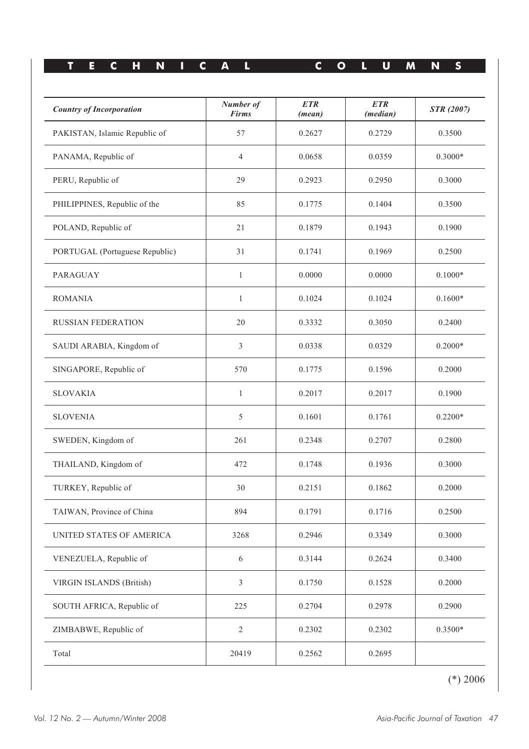| <b>Country of Incorporation</b> | Number of<br><b>Firms</b> | <b>ETR</b><br>(mean) | <b>ETR</b><br>(median) | <b>STR</b> (2007) |
|---------------------------------|---------------------------|----------------------|------------------------|-------------------|
| PAKISTAN, Islamic Republic of   | 57                        | 0.2627               | 0.2729                 | 0.3500            |
| PANAMA, Republic of             | 4                         | 0.0658               | 0.0359                 | $0.3000*$         |
| PERU, Republic of               | 29                        | 0.2923               | 0.2950                 | 0.3000            |
| PHILIPPINES, Republic of the    | 85                        | 0.1775               | 0.1404                 | 0.3500            |
| POLAND, Republic of             | 21                        | 0.1879               | 0.1943                 | 0.1900            |
| PORTUGAL (Portuguese Republic)  | 31                        | 0.1741               | 0.1969                 | 0.2500            |
| <b>PARAGUAY</b>                 | $\mathbf{1}$              | 0.0000               | 0.0000                 | $0.1000*$         |
| <b>ROMANIA</b>                  | $\mathbf{1}$              | 0.1024               | 0.1024                 | $0.1600*$         |
| <b>RUSSIAN FEDERATION</b>       | 20                        | 0.3332               | 0.3050                 | 0.2400            |
| SAUDI ARABIA, Kingdom of        | 3                         | 0.0338               | 0.0329                 | $0.2000*$         |
| SINGAPORE, Republic of          | 570                       | 0.1775               | 0.1596                 | 0.2000            |
| <b>SLOVAKIA</b>                 | $\mathbf{1}$              | 0.2017               | 0.2017                 | 0.1900            |
| <b>SLOVENIA</b>                 | 5                         | 0.1601               | 0.1761                 | $0.2200*$         |
| SWEDEN, Kingdom of              | 261                       | 0.2348               | 0.2707                 | 0.2800            |
| THAILAND, Kingdom of            | 472                       | 0.1748               | 0.1936                 | 0.3000            |
| TURKEY, Republic of             | 30                        | 0.2151               | 0.1862                 | 0.2000            |
| TAIWAN, Province of China       | 894                       | 0.1791               | 0.1716                 | 0.2500            |
| UNITED STATES OF AMERICA        | 3268                      | 0.2946               | 0.3349                 | 0.3000            |
| VENEZUELA, Republic of          | $\sqrt{6}$                | 0.3144               | 0.2624                 | 0.3400            |
| <b>VIRGIN ISLANDS (British)</b> | 3                         | 0.1750               | 0.1528                 | 0.2000            |
| SOUTH AFRICA, Republic of       | 225                       | 0.2704               | 0.2978                 | 0.2900            |
| ZIMBABWE, Republic of           | $\mathfrak{2}$            | 0.2302               | 0.2302                 | $0.3500*$         |
| Total                           | 20419                     | 0.2562               | 0.2695                 |                   |

(\*) 2006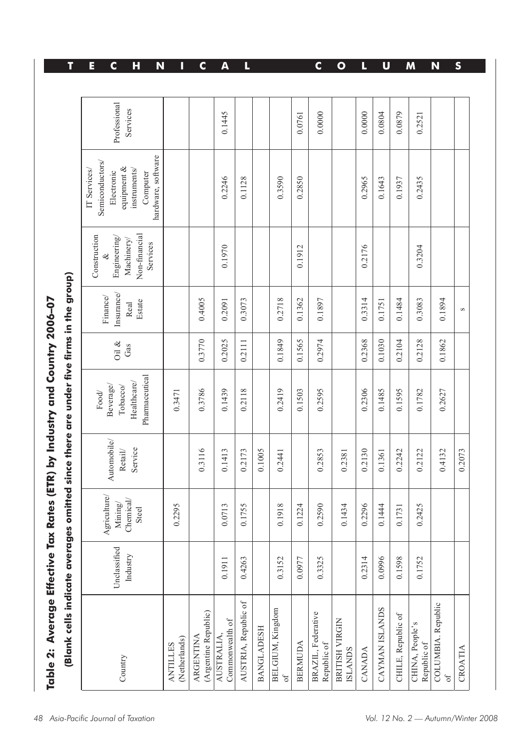| (Blank cells indicate averag             |                          |                                              |                                                   | es omitted since there are under five firms in the group)      |                 |                                         |                                                                         |                                                                                                                |                          |
|------------------------------------------|--------------------------|----------------------------------------------|---------------------------------------------------|----------------------------------------------------------------|-----------------|-----------------------------------------|-------------------------------------------------------------------------|----------------------------------------------------------------------------------------------------------------|--------------------------|
| Country                                  | Unclassified<br>Industry | Agriculture/<br>Chemical<br>Mining/<br>Steel | Automobile/<br>Service<br>$\mbox{Retail}/\mbox{}$ | Pharmaceutical<br>Healthcare/<br>Beverage/<br>Tobacco/<br>Food | Oil $\&$<br>Gas | Insurance<br>Finance/<br>Estate<br>Real | Non-financial<br>Construction<br>Engineering/<br>Machinery/<br>Services | hardware, software<br>Semiconductors/<br>equipment &<br>instruments/<br>IT Services/<br>Electronic<br>Computer | Professional<br>Services |
| (Netherlands)<br><b>ANTILLES</b>         |                          | 0.2295                                       |                                                   | 0.3471                                                         |                 |                                         |                                                                         |                                                                                                                |                          |
| (Argentine Republic)<br><b>ARGENTINA</b> |                          |                                              | 0.3116                                            | 0.3786                                                         | 0.3770          | 0.4005                                  |                                                                         |                                                                                                                |                          |
| Commonwealth of<br><b>AUSTRALIA</b>      | 0.1911                   | 0.0713                                       | 0.1413                                            | 0.1439                                                         | 0.2025          | 0.2091                                  | 0.1970                                                                  | 0.2246                                                                                                         | 0.1445                   |
| AUSTRIA, Republic of                     | 0.4263                   | 0.1755                                       | 0.2173                                            | 0.2118                                                         | 0.2111          | 0.3073                                  |                                                                         | 0.1128                                                                                                         |                          |
| <b>BANGLADESH</b>                        |                          |                                              | 0.1005                                            |                                                                |                 |                                         |                                                                         |                                                                                                                |                          |
| <b>BELGIUM, Kingdom</b><br>$\circ$ f     | 0.3152                   | 0.1918                                       | 0.2441                                            | 0.2419                                                         | 0.1849          | 0.2718                                  |                                                                         | 0.3590                                                                                                         |                          |
| <b>BERMUDA</b>                           | 0.0977                   | 0.1224                                       |                                                   | 0.1503                                                         | 0.1565          | 0.1362                                  | 0.1912                                                                  | 0.2850                                                                                                         | 0.0761                   |
| BRAZIL, Federative<br>Republic of        | 0.3325                   | 0.2590                                       | 0.2853                                            | 0.2595                                                         | 0.2974          | 0.1897                                  |                                                                         |                                                                                                                | 0.0000                   |
| <b>BRITISH VIRGIN</b><br><b>ISLANDS</b>  |                          | 0.1434                                       | 0.2381                                            |                                                                |                 |                                         |                                                                         |                                                                                                                |                          |
| <b>CANADA</b>                            | 0.2314                   | 0.2296                                       | 0.2130                                            | 0.2306                                                         | 0.2368          | 0.3314                                  | 0.2176                                                                  | 0.2965                                                                                                         | 0.0000                   |
| CAYMAN ISLANDS                           | 0.0996                   | 0.1444                                       | 0.1361                                            | 0.1485                                                         | 0.1030          | 0.1751                                  |                                                                         | 0.1643                                                                                                         | 0.0804                   |
| CHILE, Republic of                       | 0.1598                   | 0.1731                                       | 0.2242                                            | 0.1595                                                         | 0.2104          | 0.1484                                  |                                                                         | 0.1937                                                                                                         | 0.0879                   |
| CHINA, People's<br>Republic of           | 0.1752                   | 0.2425                                       | 0.2122                                            | 0.1782                                                         | 0.2128          | 0.3083                                  | 0.3204                                                                  | 0.2435                                                                                                         | 0.2521                   |
| COLUMBIA. Republic<br>$\sigma$ f         |                          |                                              | 0.4132                                            | 0.2627                                                         | 0.1862          | 0.1894                                  |                                                                         |                                                                                                                |                          |
| CROATIA                                  |                          |                                              | 0.2073                                            |                                                                |                 | S                                       |                                                                         |                                                                                                                |                          |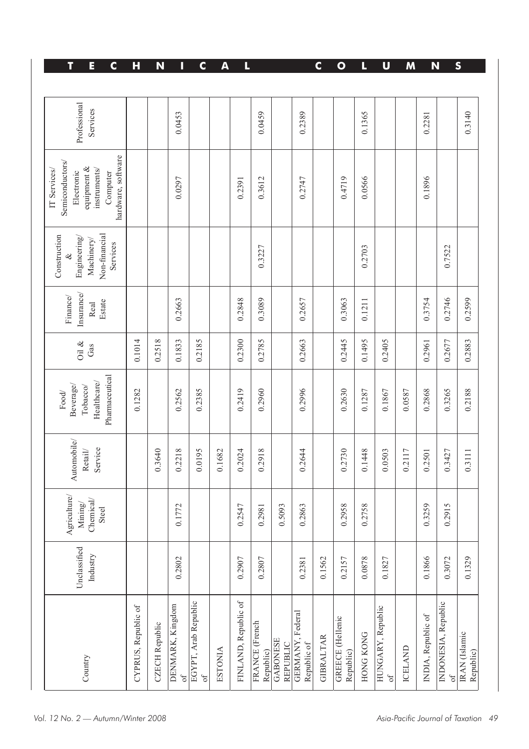| T<br>E<br>C                                                                                                    | н                   | N                     | Π                              | C                                 | A              | L                    |                             |                             |                                 | C                | $\bullet$                            | L                | U                              | M              |                    | N                                | S                          |
|----------------------------------------------------------------------------------------------------------------|---------------------|-----------------------|--------------------------------|-----------------------------------|----------------|----------------------|-----------------------------|-----------------------------|---------------------------------|------------------|--------------------------------------|------------------|--------------------------------|----------------|--------------------|----------------------------------|----------------------------|
| Professional<br>Services                                                                                       |                     |                       | 0.0453                         |                                   |                |                      | 0.0459                      |                             | 0.2389                          |                  |                                      | 0.1365           |                                |                | 0.2281             |                                  | 0.3140                     |
| hardware, software<br>Semiconductors/<br>equipment &<br>IT Services/<br>instruments/<br>Electronic<br>Computer |                     |                       | 0.0297                         |                                   |                | 0.2391               | 0.3612                      |                             | 0.2747                          |                  | 0.4719                               | 0.0566           |                                |                | 0.1896             |                                  |                            |
| Non-financial<br>Construction<br>Engineering/<br>Machinery/<br>Services<br>ž                                   |                     |                       |                                |                                   |                |                      | 0.3227                      |                             |                                 |                  |                                      | 0.2703           |                                |                |                    | 0.7522                           |                            |
| Insurance/<br>Finance/<br>Estate<br>Real                                                                       |                     |                       | 0.2663                         |                                   |                | 0.2848               | 0.3089                      |                             | 0.2657                          |                  | 0.3063                               | 0.1211           |                                |                | 0.3754             | 0.2746                           | 0.2599                     |
| Oil $\&$<br>Gas                                                                                                | 0.1014              | 0.2518                | 0.1833                         | 0.2185                            |                | 0.2300               | 0.2785                      |                             | 0.2663                          |                  | 0.2445                               | 0.1495           | 0.2405                         |                | 0.2961             | 0.2677                           | 0.2883                     |
| Pharmaceutical<br>Healthcare/<br>Beverage/<br>Tobacco/<br>Food                                                 | 0.1282              |                       | 0.2562                         | 0.2385                            |                | 0.2419               | 0.2960                      |                             | 0.2996                          |                  | 0.2630                               | 0.1287           | 0.1867                         | 0.0587         | 0.2868             | 0.3265                           | 0.2188                     |
| Automobile/<br>Service<br>Retail/                                                                              |                     | 0.3640                | 0.2218                         | 0.0195                            | 0.1682         | 0.2024               | 0.2918                      |                             | 0.2644                          |                  | 0.2730                               | 0.1448           | 0.0503                         | 0.2117         | 0.2501             | 0.3427                           | 0.3111                     |
| ${\rm {\bf A}}$ griculture/<br>$\frac{\text{Mining}}{\text{Chemical}}$<br>Steel                                |                     |                       | 0.1772                         |                                   |                | 0.2547               | 0.2981                      | 0.5093                      | 0.2863                          |                  | 0.2958                               | 0.2758           |                                |                | 0.3259             | 0.2915                           |                            |
| Unclassified<br>Industry                                                                                       |                     |                       | 0.2802                         |                                   |                | 0.2907               | 0.2807                      |                             | 0.2381                          | 0.1562           | 0.2157                               | 0.0878           | 0.1827                         |                | 0.1866             | 0.3072                           | 0.1329                     |
| Country                                                                                                        | CYPRUS, Republic of | <b>CZECH</b> Republic | DENMARK, Kingdom<br>$\alpha f$ | EGYPT, Arab Republic<br>$\circ$ f | <b>ESTONIA</b> | FINLAND, Republic of | FRANCE (French<br>Republic) | <b>GABONESE</b><br>REPUBLIC | GERMANY, Federal<br>Republic of | <b>GIBRALTAR</b> | <b>GREECE</b> (Hellenic<br>Republic) | <b>HONG KONG</b> | HUNGARY, Republic<br>$\circ f$ | <b>ICELAND</b> | INDIA, Republic of | INDONESIA, Republic<br>$\circ$ f | IRAN (Islamic<br>Republic) |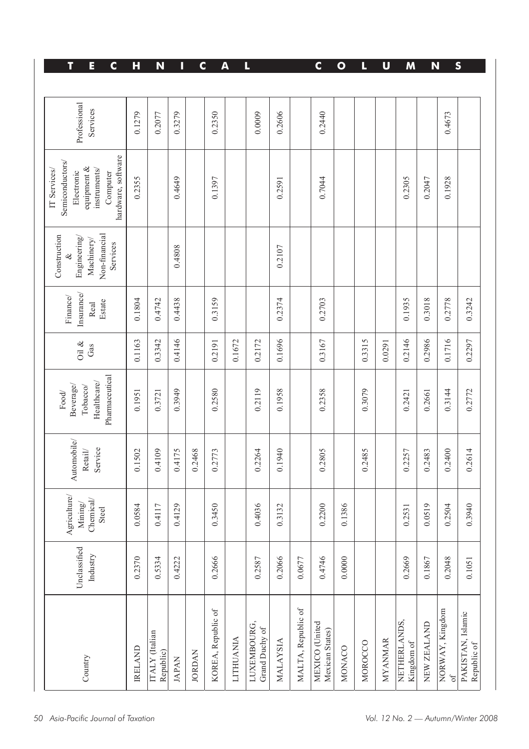| T<br>E<br>$\mathbf c$                                                                                          | H              | N                           | I            | $\mathbf C$   |                    | A                | L                             |                 |                    | $\mathbf c$                       | $\bullet$     | L       | $\mathbf U$    | M                          | N           |                              | S                                |
|----------------------------------------------------------------------------------------------------------------|----------------|-----------------------------|--------------|---------------|--------------------|------------------|-------------------------------|-----------------|--------------------|-----------------------------------|---------------|---------|----------------|----------------------------|-------------|------------------------------|----------------------------------|
| Professional<br>Services                                                                                       | 0.1279         | 0.2077                      | 0.3279       |               | 0.2350             |                  | 0.0009                        | 0.2606          |                    | 0.2440                            |               |         |                |                            |             | 0.4673                       |                                  |
| hardware, software<br>Semiconductors/<br>equipment &<br>instruments/<br>IT Services/<br>Electronic<br>Computer | 0.2355         |                             | 0.4649       |               | 0.1397             |                  |                               | 0.2591          |                    | 0.7044                            |               |         |                | 0.2305                     | 0.2047      | 0.1928                       |                                  |
| Non-financial<br>Construction<br>Engineering/<br>Machinery/<br>Services                                        |                |                             | 0.4808       |               |                    |                  |                               | 0.2107          |                    |                                   |               |         |                |                            |             |                              |                                  |
| Insurance/<br>Finance/<br>Estate<br>Real                                                                       | 0.1804         | 0.4742                      | 0.4438       |               | 0.3159             |                  |                               | 0.2374          |                    | 0.2703                            |               |         |                | 0.1935                     | 0.3018      | 0.2778                       | 0.3242                           |
| Oil $\&$<br>Gas                                                                                                | 0.1163         | 0.3342                      | 0.4146       |               | 0.2191             | 0.1672           | 0.2172                        | 0.1696          |                    | 0.3167                            |               | 0.3315  | 0.0291         | 0.2146                     | 0.2986      | 0.1716                       | 0.2297                           |
| Pharmaceutical<br>Healthcare/<br>Beverage/<br>Tobacco/<br>Food                                                 | 0.1951         | 0.3721                      | 0.3949       |               | 0.2580             |                  | 0.2119                        | 0.1958          |                    | 0.2358                            |               | 0.3079  |                | 0.2421                     | 0.2661      | 0.3144                       | 0.2772                           |
| Automobile/<br>Service<br>Retail/                                                                              | 0.1502         | 0.4109                      | 0.4175       | 0.2468        | 0.2773             |                  | 0.2264                        | 0.1940          |                    | 0.2805                            |               | 0.2485  |                | 0.2257                     | 0.2483      | 0.2400                       | 0.2614                           |
| ${\rm {\bf A}}$ griculture/<br>Mining/<br>Chemical/<br>Steel                                                   | 0.0584         | 0.4117                      | 0.4129       |               | 0.3450             |                  | 0.4036                        | 0.3132          |                    | 0.2200                            | 0.1386        |         |                | 0.2531                     | 0.0519      | 0.2504                       | 0.3940                           |
| Unclassified<br>Industry                                                                                       | 0.2370         | 0.5334                      | 0.4222       |               | 0.2666             |                  | 0.2587                        | 0.2066          | 0.0677             | 0.4746                            | 0.0000        |         |                | 0.2669                     | 0.1867      | 0.2048                       | 0.1051                           |
| Country                                                                                                        | <b>IRELAND</b> | ITALY (Italian<br>Republic) | <b>JAPAN</b> | <b>JORDAN</b> | KOREA, Republic of | <b>LITHUANIA</b> | LUXEMBOURG,<br>Grand Duchy of | <b>MALAYSIA</b> | MALTA, Republic of | MEXICO (United<br>Mexican States) | <b>MONACO</b> | MOROCCO | <b>MYANMAR</b> | NETHERLANDS,<br>Kingdom of | NEW ZEALAND | NORWAY, Kingdom<br>$\circ$ f | PAKISTAN, Islamic<br>Republic of |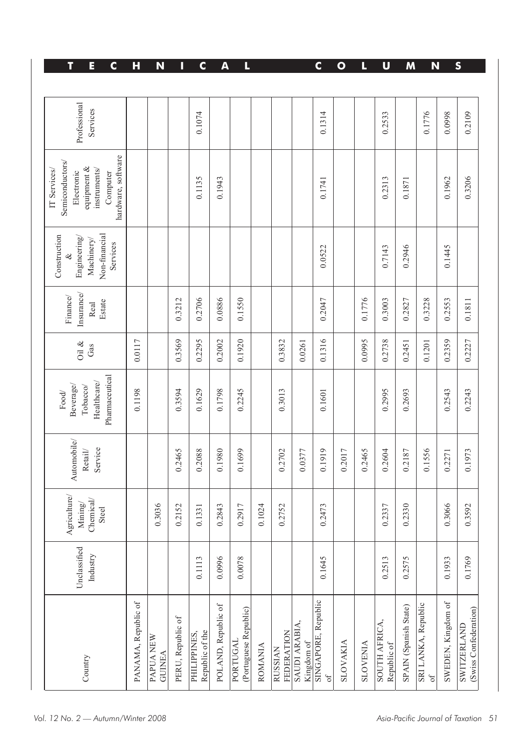| $\mathbf C$<br>T<br>E                                                                                          | Н                   | N                          | U                 | C                               | A                   | L                                 |                |                              |                             | $\mathbf c$                      | $\mathbf{o}$    | L               | U                            | M                     | N                                 |                    | S                                           |
|----------------------------------------------------------------------------------------------------------------|---------------------|----------------------------|-------------------|---------------------------------|---------------------|-----------------------------------|----------------|------------------------------|-----------------------------|----------------------------------|-----------------|-----------------|------------------------------|-----------------------|-----------------------------------|--------------------|---------------------------------------------|
| Professional<br>Services                                                                                       |                     |                            |                   | 0.1074                          |                     |                                   |                |                              |                             | 0.1314                           |                 |                 | 0.2533                       |                       | 0.1776                            | 0.0998             | 0.2109                                      |
| hardware, software<br>Semiconductors/<br>equipment &<br>instruments/<br>IT Services/<br>Electronic<br>Computer |                     |                            |                   | 0.1135                          | 0.1943              |                                   |                |                              |                             | 0.1741                           |                 |                 | 0.2313                       | 0.1871                |                                   | 0.1962             | 0.3206                                      |
| Non-financial<br>Construction<br>Engineering/<br>Machinery/<br>Services                                        |                     |                            |                   |                                 |                     |                                   |                |                              |                             | 0.0522                           |                 |                 | 0.7143                       | 0.2946                |                                   | 0.1445             |                                             |
| Insurance/<br>Finance/<br>Estate<br>Real                                                                       |                     |                            | 0.3212            | 0.2706                          | 0.0886              | 0.1550                            |                |                              |                             | 0.2047                           |                 | 0.1776          | 0.3003                       | 0.2827                | 0.3228                            | 0.2553             | 0.1811                                      |
| Oil $\&$<br>Gas                                                                                                | 0.0117              |                            | 0.3569            | 0.2295                          | 0.2002              | 0.1920                            |                | 0.3832                       | 0.0261                      | 0.1316                           |                 | 0.0995          | 0.2738                       | 0.2451                | 0.1201                            | 0.2359             | 0.2227                                      |
| Pharmaceutical<br>Healthcare/<br>Beverage/<br>Tobacco/<br>Food                                                 | 0.1198              |                            | 0.3594            | 0.1629                          | 0.1798              | 0.2245                            |                | 0.3013                       |                             | 0.1601                           |                 |                 | 0.2995                       | 0.2693                |                                   | 0.2543             | 0.2243                                      |
| Automobile/<br>Service<br>Retail/                                                                              |                     |                            | 0.2465            | 0.2088                          | 0.1980              | 0.1699                            |                | 0.2702                       | 0.0377                      | 0.1919                           | 0.2017          | 0.2465          | 0.2604                       | 0.2187                | 0.1556                            | 0.2271             | 0.1973                                      |
| $\Lambda$ griculture/<br>$\frac{\text{Mining}}{\text{Chemical}}/$<br>Steel                                     |                     | 0.3036                     | .2152<br>$\circ$  | 0.1331                          | .2843<br>$\circ$    | 0.2917                            | 0.1024         | 0.2752                       |                             | 0.2473                           |                 |                 | .2337<br>$\circ$             | 0.2330                |                                   | 0.3066             | 0.3592                                      |
| Unclassified<br>Industry                                                                                       |                     |                            |                   | 0.1113                          | 0.0996              | 0.0078                            |                |                              |                             | 0.1645                           |                 |                 | 0.2513                       | 0.2575                |                                   | 0.1933             | 0.1769                                      |
| Country                                                                                                        | PANAMA, Republic of | PAPUA NEW<br><b>GUINEA</b> | PERU, Republic of | Republic of the<br>PHILIPPINES, | POLAND, Republic of | (Portuguese Republic)<br>PORTUGAL | <b>ROMANIA</b> | FEDERATION<br><b>RUSSIAN</b> | SAUDI ARABIA,<br>Kingdom of | SINGAPORE, Republic<br>$\circ$ f | <b>SLOVAKIA</b> | <b>SLOVENIA</b> | SOUTH AFRICA,<br>Republic of | SPAIN (Spanish State) | SRI LANKA, Republic<br>$\sigma$ f | SWEDEN, Kingdom of | (Swiss Confederation)<br><b>SWITZERLAND</b> |